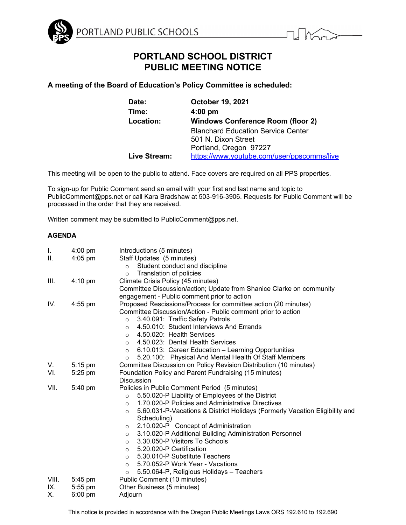

# **PORTLAND SCHOOL DISTRICT PUBLIC MEETING NOTICE**

**A meeting of the Board of Education's Policy Committee is scheduled:** 

| <b>October 19, 2021</b>                    |
|--------------------------------------------|
| $4:00$ pm                                  |
| <b>Windows Conference Room (floor 2)</b>   |
| <b>Blanchard Education Service Center</b>  |
| 501 N. Dixon Street                        |
| Portland, Oregon 97227                     |
| https://www.youtube.com/user/ppscomms/live |
|                                            |

This meeting will be open to the public to attend. Face covers are required on all PPS properties.

To sign-up for Public Comment send an email with your first and last name and topic to PublicComment@pps.net or call Kara Bradshaw at 503-916-3906. Requests for Public Comment will be processed in the order that they are received.

Written comment may be submitted to PublicComment@pps.net.

# **AGENDA**

| I.    | $4:00 \text{ pm}$ | Introductions (5 minutes)                                                              |
|-------|-------------------|----------------------------------------------------------------------------------------|
| II.   | $4:05$ pm         | Staff Updates (5 minutes)                                                              |
|       |                   | Student conduct and discipline<br>$\circ$                                              |
|       |                   | Translation of policies<br>$\circ$                                                     |
| III.  | $4:10 \text{ pm}$ | Climate Crisis Policy (45 minutes)                                                     |
|       |                   | Committee Discussion/action; Update from Shanice Clarke on community                   |
|       |                   | engagement - Public comment prior to action                                            |
| IV.   | $4:55$ pm         | Proposed Rescissions/Process for committee action (20 minutes)                         |
|       |                   | Committee Discussion/Action - Public comment prior to action                           |
|       |                   | 3.40.091: Traffic Safety Patrols<br>$\circ$                                            |
|       |                   | 4.50.010: Student Interviews And Errands<br>$\circ$                                    |
|       |                   | 4.50.020: Health Services<br>$\circ$                                                   |
|       |                   | 4.50.023: Dental Health Services<br>$\circ$                                            |
|       |                   | 6.10.013: Career Education - Learning Opportunities<br>$\circ$                         |
|       |                   | 5.20.100: Physical And Mental Health Of Staff Members<br>$\circ$                       |
| V.    | $5:15$ pm         | Committee Discussion on Policy Revision Distribution (10 minutes)                      |
| VI.   | $5:25$ pm         | Foundation Policy and Parent Fundraising (15 minutes)                                  |
|       |                   | <b>Discussion</b>                                                                      |
| VII.  | 5:40 pm           | Policies in Public Comment Period (5 minutes)                                          |
|       |                   | 5.50.020-P Liability of Employees of the District<br>$\circ$                           |
|       |                   | 1.70.020-P Policies and Administrative Directives<br>$\circ$                           |
|       |                   | 5.60.031-P-Vacations & District Holidays (Formerly Vacation Eligibility and<br>$\circ$ |
|       |                   | Scheduling)                                                                            |
|       |                   | 2.10.020-P Concept of Administration<br>$\circ$                                        |
|       |                   | 3.10.020-P Additional Building Administration Personnel<br>$\circ$                     |
|       |                   | 3.30.050-P Visitors To Schools<br>$\circ$                                              |
|       |                   | 5.20.020-P Certification<br>$\circ$                                                    |
|       |                   | 5.30.010-P Substitute Teachers<br>$\circ$                                              |
|       |                   | 5.70.052-P Work Year - Vacations<br>$\circ$                                            |
|       |                   | 5.50.064-P, Religious Holidays - Teachers<br>$\circ$                                   |
| VIII. | 5:45 pm           | Public Comment (10 minutes)                                                            |
| IX.   | $5:55$ pm         | Other Business (5 minutes)                                                             |
| Х.    | $6:00 \text{ pm}$ | Adjourn                                                                                |